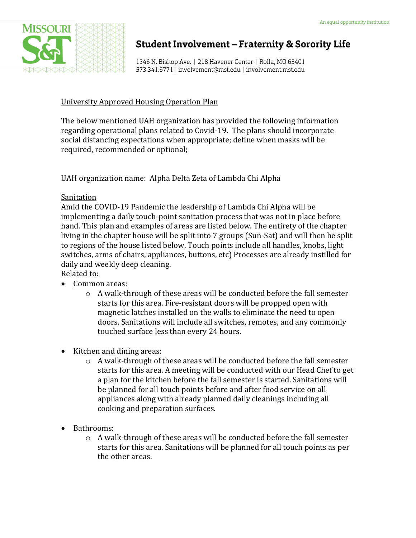

## **Student Involvement - Fraternity & Sorority Life**

1346 N. Bishop Ave. | 218 Havener Center | Rolla, MO 65401 573.341.6771 | involvement@mst.edu | involvement.mst.edu

### University Approved Housing Operation Plan

The below mentioned UAH organization has provided the following information regarding operational plans related to Covid-19. The plans should incorporate social distancing expectations when appropriate; define when masks will be required, recommended or optional;

UAH organization name: Alpha Delta Zeta of Lambda Chi Alpha

### **Sanitation**

Amid the COVID-19 Pandemic the leadership of Lambda Chi Alpha will be implementing a daily touch-point sanitation process that was not in place before hand. This plan and examples of areas are listed below. The entirety of the chapter living in the chapter house will be split into 7 groups (Sun-Sat) and will then be split to regions of the house listed below. Touch points include all handles, knobs, light switches, arms of chairs, appliances, buttons, etc) Processes are already instilled for daily and weekly deep cleaning.

Related to:

- Common areas:
	- $\circ$  A walk-through of these areas will be conducted before the fall semester starts for this area. Fire-resistant doors will be propped open with magnetic latches installed on the walls to eliminate the need to open doors. Sanitations will include all switches, remotes, and any commonly touched surface less than every 24 hours.
- Kitchen and dining areas:
	- $\circ$  A walk-through of these areas will be conducted before the fall semester starts for this area. A meeting will be conducted with our Head Chef to get a plan for the kitchen before the fall semester is started. Sanitations will be planned for all touch points before and after food service on all appliances along with already planned daily cleanings including all cooking and preparation surfaces.
- Bathrooms:
	- $\circ$  A walk-through of these areas will be conducted before the fall semester starts for this area. Sanitations will be planned for all touch points as per the other areas.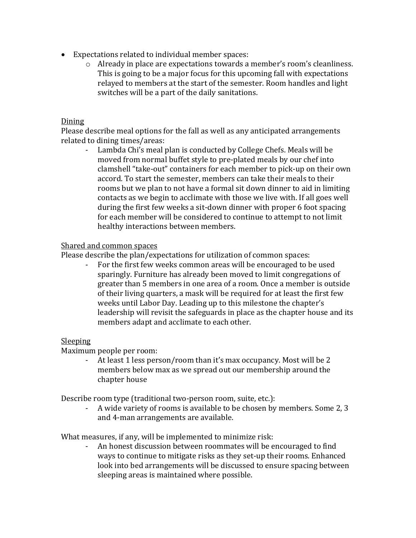- Expectations related to individual member spaces:
	- o Already in place are expectations towards a member's room's cleanliness. This is going to be a major focus for this upcoming fall with expectations relayed to members at the start of the semester. Room handles and light switches will be a part of the daily sanitations.

#### Dining

Please describe meal options for the fall as well as any anticipated arrangements related to dining times/areas:

Lambda Chi's meal plan is conducted by College Chefs. Meals will be moved from normal buffet style to pre-plated meals by our chef into clamshell "take-out" containers for each member to pick-up on their own accord. To start the semester, members can take their meals to their rooms but we plan to not have a formal sit down dinner to aid in limiting contacts as we begin to acclimate with those we live with. If all goes well during the first few weeks a sit-down dinner with proper 6 foot spacing for each member will be considered to continue to attempt to not limit healthy interactions between members.

### Shared and common spaces

Please describe the plan/expectations for utilization of common spaces:

For the first few weeks common areas will be encouraged to be used sparingly. Furniture has already been moved to limit congregations of greater than 5 members in one area of a room. Once a member is outside of their living quarters, a mask will be required for at least the first few weeks until Labor Day. Leading up to this milestone the chapter's leadership will revisit the safeguards in place as the chapter house and its members adapt and acclimate to each other.

### Sleeping

Maximum people per room:

- At least 1 less person/room than it's max occupancy. Most will be 2 members below max as we spread out our membership around the chapter house

Describe room type (traditional two-person room, suite, etc.):

A wide variety of rooms is available to be chosen by members. Some 2, 3 and 4-man arrangements are available.

What measures, if any, will be implemented to minimize risk:

- An honest discussion between roommates will be encouraged to find ways to continue to mitigate risks as they set-up their rooms. Enhanced look into bed arrangements will be discussed to ensure spacing between sleeping areas is maintained where possible.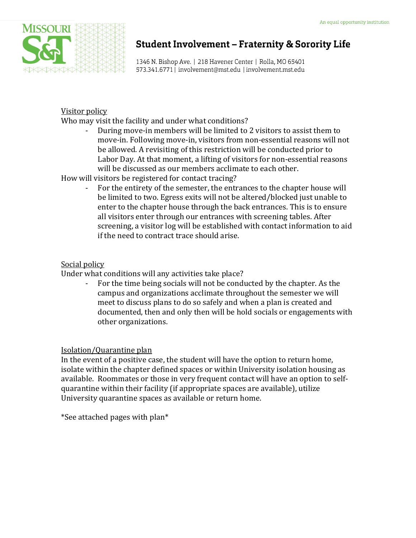

# **Student Involvement - Fraternity & Sorority Life**

1346 N. Bishop Ave. | 218 Havener Center | Rolla, MO 65401 573.341.6771 | involvement@mst.edu | involvement.mst.edu

### Visitor policy

Who may visit the facility and under what conditions?

- During move-in members will be limited to 2 visitors to assist them to move-in. Following move-in, visitors from non-essential reasons will not be allowed. A revisiting of this restriction will be conducted prior to Labor Day. At that moment, a lifting of visitors for non-essential reasons will be discussed as our members acclimate to each other.

How will visitors be registered for contact tracing?

For the entirety of the semester, the entrances to the chapter house will be limited to two. Egress exits will not be altered/blocked just unable to enter to the chapter house through the back entrances. This is to ensure all visitors enter through our entrances with screening tables. After screening, a visitor log will be established with contact information to aid if the need to contract trace should arise.

### Social policy

Under what conditions will any activities take place?

- For the time being socials will not be conducted by the chapter. As the campus and organizations acclimate throughout the semester we will meet to discuss plans to do so safely and when a plan is created and documented, then and only then will be hold socials or engagements with other organizations.

### Isolation/Quarantine plan

In the event of a positive case, the student will have the option to return home, isolate within the chapter defined spaces or within University isolation housing as available. Roommates or those in very frequent contact will have an option to selfquarantine within their facility (if appropriate spaces are available), utilize University quarantine spaces as available or return home.

\*See attached pages with plan\*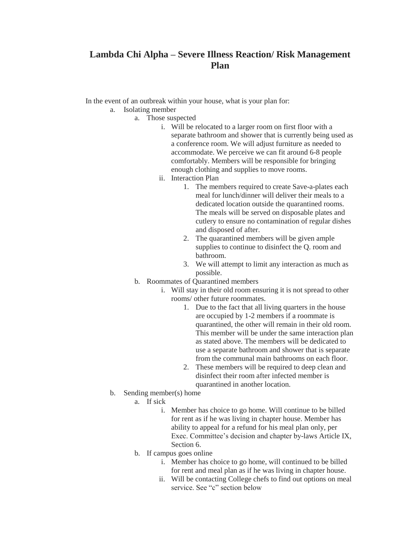### **Lambda Chi Alpha – Severe Illness Reaction/ Risk Management Plan**

In the event of an outbreak within your house, what is your plan for:

- a. Isolating member
	- a. Those suspected
		- i. Will be relocated to a larger room on first floor with a separate bathroom and shower that is currently being used as a conference room. We will adjust furniture as needed to accommodate. We perceive we can fit around 6-8 people comfortably. Members will be responsible for bringing enough clothing and supplies to move rooms.
		- ii. Interaction Plan
			- 1. The members required to create Save-a-plates each meal for lunch/dinner will deliver their meals to a dedicated location outside the quarantined rooms. The meals will be served on disposable plates and cutlery to ensure no contamination of regular dishes and disposed of after.
			- 2. The quarantined members will be given ample supplies to continue to disinfect the Q. room and bathroom.
			- 3. We will attempt to limit any interaction as much as possible.
	- b. Roommates of Quarantined members
		- i. Will stay in their old room ensuring it is not spread to other rooms/ other future roommates.
			- 1. Due to the fact that all living quarters in the house are occupied by 1-2 members if a roommate is quarantined, the other will remain in their old room. This member will be under the same interaction plan as stated above. The members will be dedicated to use a separate bathroom and shower that is separate from the communal main bathrooms on each floor.
			- 2. These members will be required to deep clean and disinfect their room after infected member is quarantined in another location.
- b. Sending member(s) home
	- a. If sick
		- i. Member has choice to go home. Will continue to be billed for rent as if he was living in chapter house. Member has ability to appeal for a refund for his meal plan only, per Exec. Committee's decision and chapter by-laws Article IX, Section 6.
	- b. If campus goes online
		- i. Member has choice to go home, will continued to be billed for rent and meal plan as if he was living in chapter house.
		- ii. Will be contacting College chefs to find out options on meal service. See "c" section below